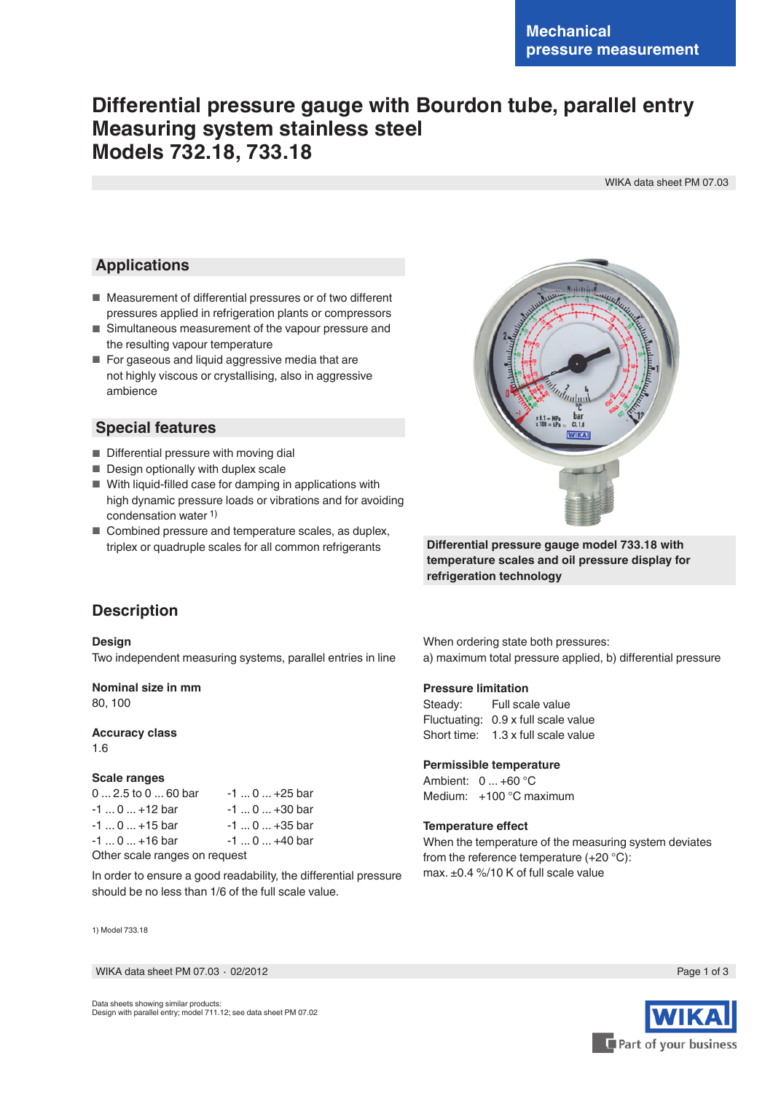# **Differential pressure gauge with Bourdon tube, parallel entry Measuring system stainless steel Models 732.18, 733.18**

WIKA data sheet PM 07.03

### **Applications**

- Measurement of differential pressures or of two different pressures applied in refrigeration plants or compressors
- Simultaneous measurement of the vapour pressure and the resulting vapour temperature
- For gaseous and liquid aggressive media that are not highly viscous or crystallising, also in aggressive ambience

### **Special features**

- Differential pressure with moving dial
- Design optionally with duplex scale
- With liquid-filled case for damping in applications with high dynamic pressure loads or vibrations and for avoiding condensation water 1)
- Combined pressure and temperature scales, as duplex, triplex or quadruple scales for all common refrigerants



**Differential pressure gauge model 733.18 with temperature scales and oil pressure display for refrigeration technology**

### **Description**

#### **Design**

Two independent measuring systems, parallel entries in line

#### **Nominal size in mm**

80, 100

#### **Accuracy class**

1.6

#### **Scale ranges**

0 ... 2.5 to 0 ... 60 bar -1 ... 0 ... +25 bar  $-1$  ... 0 ...  $+12$  bar  $-1$  ... 0 ...  $+30$  bar  $-1 ... 0 ... +15$  bar  $-1 ... 0 ... +35$  bar  $-1 ... 0 ... +16$  bar  $-1 ... 0 ... +40$  bar Other scale ranges on request

In order to ensure a good readability, the differential pressure should be no less than 1/6 of the full scale value.

1) Model 733.18

WIKA data sheet PM 07.03 ⋅ 02/2012 Page 1 of 3

When ordering state both pressures: a) maximum total pressure applied, b) differential pressure

#### **Pressure limitation**

Steady: Full scale value Fluctuating: 0.9 x full scale value Short time: 1.3 x full scale value

#### **Permissible temperature**

Ambient: 0 ... +60 °C Medium: +100 °C maximum

#### **Temperature effect**

When the temperature of the measuring system deviates from the reference temperature (+20 °C): max. ±0.4 %/10 K of full scale value

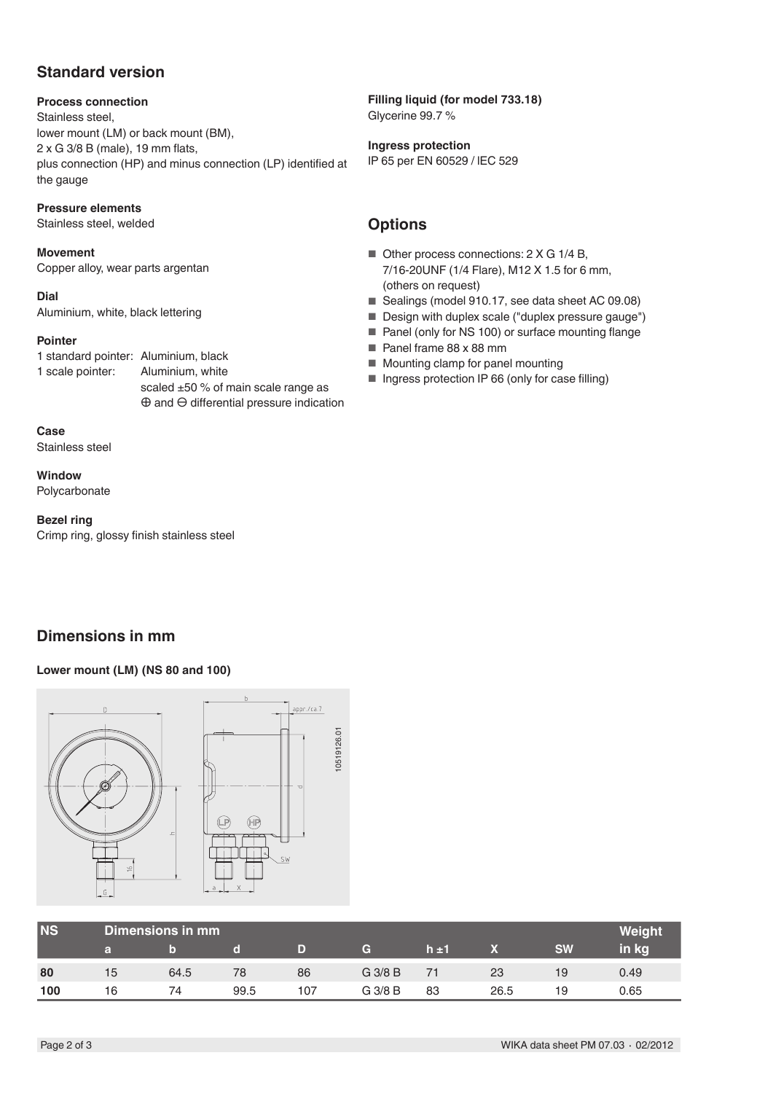## **Standard version**

### **Process connection**

Stainless steel, lower mount (LM) or back mount (BM), 2 x G 3/8 B (male), 19 mm flats, plus connection (HP) and minus connection (LP) identified at the gauge

### **Pressure elements**

Stainless steel, welded

### **Movement**

Copper alloy, wear parts argentan

### **Dial**

Aluminium, white, black lettering

### **Pointer**

1 standard pointer: Aluminium, black 1 scale pointer: Aluminium, white

scaled ±50 % of main scale range as ⊕ and ⊖ differential pressure indication

**Case** Stainless steel

**Window** Polycarbonate

#### **Bezel ring**

Crimp ring, glossy finish stainless steel

#### **Filling liquid (for model 733.18)** Glycerine 99.7 %

**Ingress protection** IP 65 per EN 60529 / lEC 529

## **Options**

- Other process connections: 2 X G 1/4 B, 7/16-20UNF (1/4 Flare), M12 X 1.5 for 6 mm, (others on request)
- Sealings (model 910.17, see data sheet AC 09.08)
- Design with duplex scale ("duplex pressure gauge")
- Panel (only for NS 100) or surface mounting flange
- Panel frame 88 x 88 mm
- Mounting clamp for panel mounting
- Ingress protection IP 66 (only for case filling)

## **Dimensions in mm**

#### **Lower mount (LM) (NS 80 and 100)**



| <b>NS</b> | Dimensions in mm |      |      |     |           |     |      |           | Weight |
|-----------|------------------|------|------|-----|-----------|-----|------|-----------|--------|
|           | а                |      |      |     | G         | h±1 |      | <b>SW</b> | in kg  |
| 80        | 15               | 64.5 | 78   | 86  | G 3/8 B   |     | 23   | 19        | 0.49   |
| 100       | 16               | 74   | 99.5 | 107 | $G$ 3/8 B | 83  | 26.5 | 19        | 0.65   |